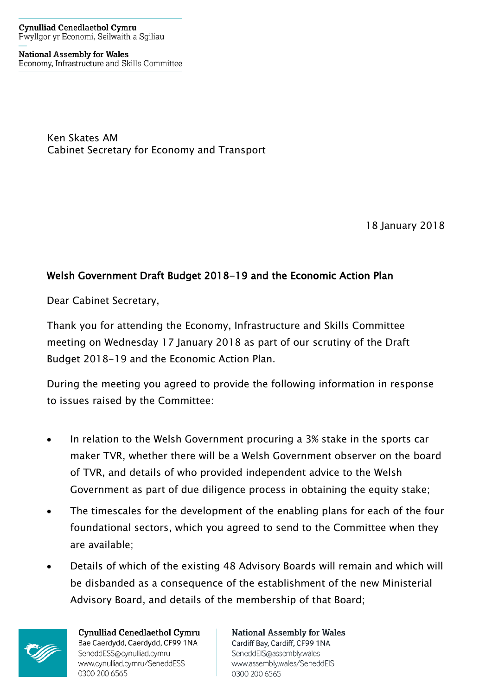**Cynulliad Cenedlaethol Cymru** Pwyllgor yr Economi, Seilwaith a Sgiliau

**National Assembly for Wales** Economy, Infrastructure and Skills Committee

> Ken Skates AM Cabinet Secretary for Economy and Transport

> > 18 January 2018

## Welsh Government Draft Budget 2018-19 and the Economic Action Plan

Dear Cabinet Secretary,

Thank you for attending the Economy, Infrastructure and Skills Committee meeting on Wednesday 17 January 2018 as part of our scrutiny of the Draft Budget 2018-19 and the Economic Action Plan.

During the meeting you agreed to provide the following information in response to issues raised by the Committee:

- In relation to the Welsh Government procuring a 3% stake in the sports car maker TVR, whether there will be a Welsh Government observer on the board of TVR, and details of who provided independent advice to the Welsh Government as part of due diligence process in obtaining the equity stake;
- The timescales for the development of the enabling plans for each of the four foundational sectors, which you agreed to send to the Committee when they are available;
- Details of which of the existing 48 Advisory Boards will remain and which will be disbanded as a consequence of the establishment of the new Ministerial Advisory Board, and details of the membership of that Board;



Cynulliad Cenedlaethol Cymru Bae Caerdydd, Caerdydd, CF99 1NA SeneddESS@cynulliad.cymru www.cynulliad.cymru/SeneddESS 0300 200 6565

**National Assembly for Wales** Cardiff Bay, Cardiff, CF99 1NA SeneddEIS@assembly.wales www.assembly.wales/SeneddEIS 0300 200 6565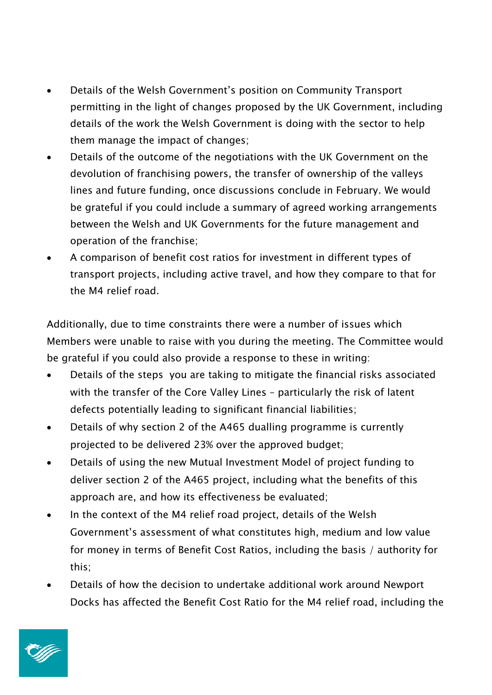- Details of the Welsh Government's position on Community Transport permitting in the light of changes proposed by the UK Government, including details of the work the Welsh Government is doing with the sector to help them manage the impact of changes;
- Details of the outcome of the negotiations with the UK Government on the devolution of franchising powers, the transfer of ownership of the valleys lines and future funding, once discussions conclude in February. We would be grateful if you could include a summary of agreed working arrangements between the Welsh and UK Governments for the future management and operation of the franchise;
- A comparison of benefit cost ratios for investment in different types of transport projects, including active travel, and how they compare to that for the M4 relief road.

Additionally, due to time constraints there were a number of issues which Members were unable to raise with you during the meeting. The Committee would be grateful if you could also provide a response to these in writing:

- Details of the steps you are taking to mitigate the financial risks associated with the transfer of the Core Valley Lines – particularly the risk of latent defects potentially leading to significant financial liabilities;
- Details of why section 2 of the A465 dualling programme is currently projected to be delivered 23% over the approved budget;
- Details of using the new Mutual Investment Model of project funding to deliver section 2 of the A465 project, including what the benefits of this approach are, and how its effectiveness be evaluated;
- In the context of the M4 relief road project, details of the Welsh Government's assessment of what constitutes high, medium and low value for money in terms of Benefit Cost Ratios, including the basis / authority for this;
- Details of how the decision to undertake additional work around Newport Docks has affected the Benefit Cost Ratio for the M4 relief road, including the